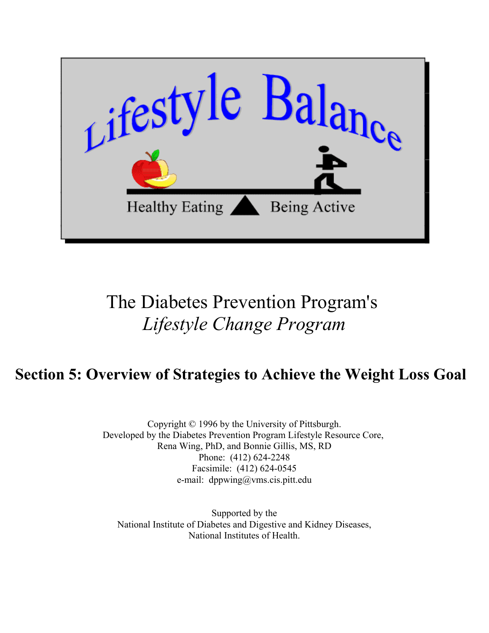

# The Diabetes Prevention Program's *Lifestyle Change Program*

## **Section 5: Overview of Strategies to Achieve the Weight Loss Goal**

Copyright © 1996 by the University of Pittsburgh. Developed by the Diabetes Prevention Program Lifestyle Resource Core, Rena Wing, PhD, and Bonnie Gillis, MS, RD Phone: (412) 624-2248 Facsimile: (412) 624-0545 e-mail: dppwing@vms.cis.pitt.edu

Supported by the [National Institute of Diabetes and Digestive and Kidney Diseases,](http://www.niddk.nih.gov) [National Institutes of Health.](http://www.nih.gov)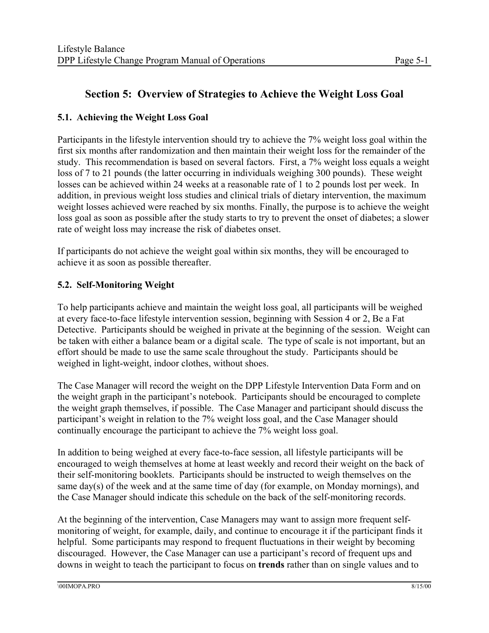### **Section 5: Overview of Strategies to Achieve the Weight Loss Goal**

#### **5.1. Achieving the Weight Loss Goal**

Participants in the lifestyle intervention should try to achieve the 7% weight loss goal within the first six months after randomization and then maintain their weight loss for the remainder of the study. This recommendation is based on several factors. First, a 7% weight loss equals a weight loss of 7 to 21 pounds (the latter occurring in individuals weighing 300 pounds). These weight losses can be achieved within 24 weeks at a reasonable rate of 1 to 2 pounds lost per week. In addition, in previous weight loss studies and clinical trials of dietary intervention, the maximum weight losses achieved were reached by six months. Finally, the purpose is to achieve the weight loss goal as soon as possible after the study starts to try to prevent the onset of diabetes; a slower rate of weight loss may increase the risk of diabetes onset.

If participants do not achieve the weight goal within six months, they will be encouraged to achieve it as soon as possible thereafter.

#### **5.2. Self-Monitoring Weight**

To help participants achieve and maintain the weight loss goal, all participants will be weighed at every face-to-face lifestyle intervention session, beginning with Session 4 or 2, Be a Fat Detective. Participants should be weighed in private at the beginning of the session. Weight can be taken with either a balance beam or a digital scale. The type of scale is not important, but an effort should be made to use the same scale throughout the study. Participants should be weighed in light-weight, indoor clothes, without shoes.

The Case Manager will record the weight on the DPP Lifestyle Intervention Data Form and on the weight graph in the participant's notebook. Participants should be encouraged to complete the weight graph themselves, if possible. The Case Manager and participant should discuss the participant's weight in relation to the 7% weight loss goal, and the Case Manager should continually encourage the participant to achieve the 7% weight loss goal.

In addition to being weighed at every face-to-face session, all lifestyle participants will be encouraged to weigh themselves at home at least weekly and record their weight on the back of their self-monitoring booklets. Participants should be instructed to weigh themselves on the same day(s) of the week and at the same time of day (for example, on Monday mornings), and the Case Manager should indicate this schedule on the back of the self-monitoring records.

At the beginning of the intervention, Case Managers may want to assign more frequent selfmonitoring of weight, for example, daily, and continue to encourage it if the participant finds it helpful. Some participants may respond to frequent fluctuations in their weight by becoming discouraged. However, the Case Manager can use a participant's record of frequent ups and downs in weight to teach the participant to focus on **trends** rather than on single values and to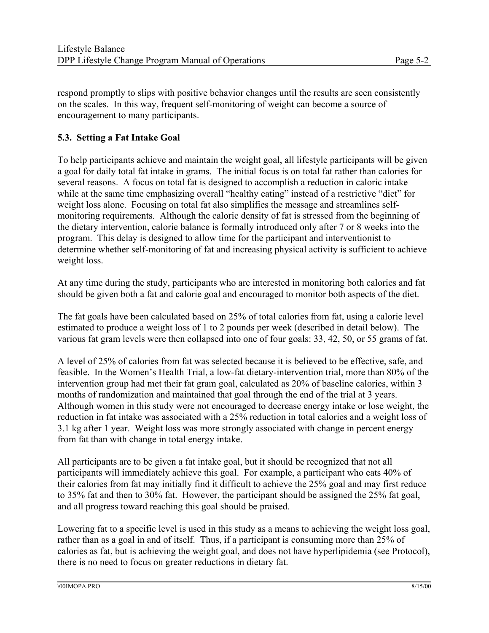respond promptly to slips with positive behavior changes until the results are seen consistently on the scales. In this way, frequent self-monitoring of weight can become a source of encouragement to many participants.

#### **5.3. Setting a Fat Intake Goal**

To help participants achieve and maintain the weight goal, all lifestyle participants will be given a goal for daily total fat intake in grams. The initial focus is on total fat rather than calories for several reasons. A focus on total fat is designed to accomplish a reduction in caloric intake while at the same time emphasizing overall "healthy eating" instead of a restrictive "diet" for weight loss alone. Focusing on total fat also simplifies the message and streamlines selfmonitoring requirements. Although the caloric density of fat is stressed from the beginning of the dietary intervention, calorie balance is formally introduced only after 7 or 8 weeks into the program. This delay is designed to allow time for the participant and interventionist to determine whether self-monitoring of fat and increasing physical activity is sufficient to achieve weight loss.

At any time during the study, participants who are interested in monitoring both calories and fat should be given both a fat and calorie goal and encouraged to monitor both aspects of the diet.

The fat goals have been calculated based on 25% of total calories from fat, using a calorie level estimated to produce a weight loss of 1 to 2 pounds per week (described in detail below). The various fat gram levels were then collapsed into one of four goals: 33, 42, 50, or 55 grams of fat.

A level of 25% of calories from fat was selected because it is believed to be effective, safe, and feasible. In the Women's Health Trial, a low-fat dietary-intervention trial, more than 80% of the intervention group had met their fat gram goal, calculated as 20% of baseline calories, within 3 months of randomization and maintained that goal through the end of the trial at 3 years. Although women in this study were not encouraged to decrease energy intake or lose weight, the reduction in fat intake was associated with a 25% reduction in total calories and a weight loss of 3.1 kg after 1 year. Weight loss was more strongly associated with change in percent energy from fat than with change in total energy intake.

All participants are to be given a fat intake goal, but it should be recognized that not all participants will immediately achieve this goal. For example, a participant who eats 40% of their calories from fat may initially find it difficult to achieve the 25% goal and may first reduce to 35% fat and then to 30% fat. However, the participant should be assigned the 25% fat goal, and all progress toward reaching this goal should be praised.

Lowering fat to a specific level is used in this study as a means to achieving the weight loss goal, rather than as a goal in and of itself. Thus, if a participant is consuming more than 25% of calories as fat, but is achieving the weight goal, and does not have hyperlipidemia (see Protocol), there is no need to focus on greater reductions in dietary fat.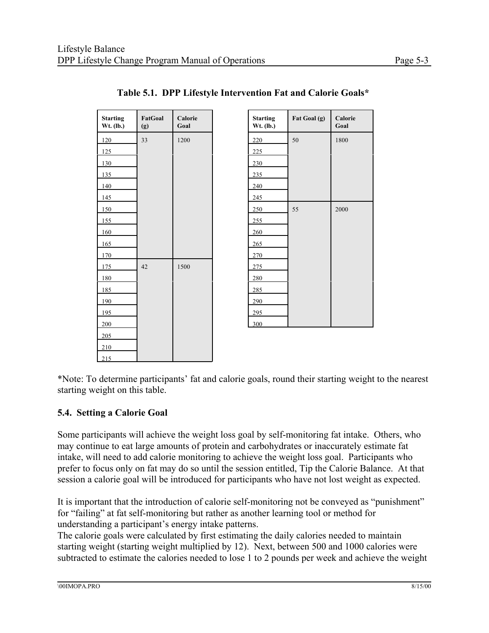| <b>Starting</b><br>Wt. (lb.) | FatGoal<br>(g) | Calorie<br>Goal |
|------------------------------|----------------|-----------------|
| 120                          | 33             | 1200            |
| 125                          |                |                 |
| 130                          |                |                 |
| 135                          |                |                 |
| 140                          |                |                 |
| 145                          |                |                 |
| 150                          |                |                 |
| 155                          |                |                 |
| 160                          |                |                 |
| 165                          |                |                 |
| 170                          |                |                 |
| 175                          | 42             | 1500            |
| 180                          |                |                 |
| 185                          |                |                 |
| 190                          |                |                 |
| 195                          |                |                 |
| 200                          |                |                 |
| 205                          |                |                 |
| 210                          |                |                 |
| 215                          |                |                 |

| <b>Starting</b><br>Wt. (lb.) | Fat Goal (g) | Calorie<br>Goal |
|------------------------------|--------------|-----------------|
| 220                          | 50           | 1800            |
| 225                          |              |                 |
| 230                          |              |                 |
| 235                          |              |                 |
| 240                          |              |                 |
| 245                          |              |                 |
| 250                          | 55           | 2000            |
| 255                          |              |                 |
| 260                          |              |                 |
| 265                          |              |                 |
| 270                          |              |                 |
| 275                          |              |                 |
| 280                          |              |                 |
| 285                          |              |                 |
| 290                          |              |                 |
| 295                          |              |                 |
| 300                          |              |                 |

#### **Table 5.1. DPP Lifestyle Intervention Fat and Calorie Goals\***

\*Note: To determine participants' fat and calorie goals, round their starting weight to the nearest starting weight on this table.

#### **5.4. Setting a Calorie Goal**

Some participants will achieve the weight loss goal by self-monitoring fat intake. Others, who may continue to eat large amounts of protein and carbohydrates or inaccurately estimate fat intake, will need to add calorie monitoring to achieve the weight loss goal. Participants who prefer to focus only on fat may do so until the session entitled, Tip the Calorie Balance. At that session a calorie goal will be introduced for participants who have not lost weight as expected.

It is important that the introduction of calorie self-monitoring not be conveyed as "punishment" for "failing" at fat self-monitoring but rather as another learning tool or method for understanding a participant's energy intake patterns.

The calorie goals were calculated by first estimating the daily calories needed to maintain starting weight (starting weight multiplied by 12). Next, between 500 and 1000 calories were subtracted to estimate the calories needed to lose 1 to 2 pounds per week and achieve the weight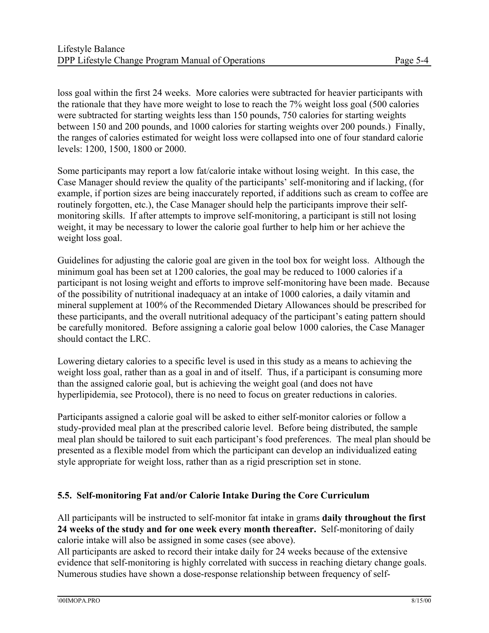loss goal within the first 24 weeks. More calories were subtracted for heavier participants with the rationale that they have more weight to lose to reach the 7% weight loss goal (500 calories were subtracted for starting weights less than 150 pounds, 750 calories for starting weights between 150 and 200 pounds, and 1000 calories for starting weights over 200 pounds.) Finally, the ranges of calories estimated for weight loss were collapsed into one of four standard calorie levels: 1200, 1500, 1800 or 2000.

Some participants may report a low fat/calorie intake without losing weight. In this case, the Case Manager should review the quality of the participants' self-monitoring and if lacking, (for example, if portion sizes are being inaccurately reported, if additions such as cream to coffee are routinely forgotten, etc.), the Case Manager should help the participants improve their selfmonitoring skills. If after attempts to improve self-monitoring, a participant is still not losing weight, it may be necessary to lower the calorie goal further to help him or her achieve the weight loss goal.

Guidelines for adjusting the calorie goal are given in the tool box for weight loss. Although the minimum goal has been set at 1200 calories, the goal may be reduced to 1000 calories if a participant is not losing weight and efforts to improve self-monitoring have been made. Because of the possibility of nutritional inadequacy at an intake of 1000 calories, a daily vitamin and mineral supplement at 100% of the Recommended Dietary Allowances should be prescribed for these participants, and the overall nutritional adequacy of the participant's eating pattern should be carefully monitored. Before assigning a calorie goal below 1000 calories, the Case Manager should contact the LRC.

Lowering dietary calories to a specific level is used in this study as a means to achieving the weight loss goal, rather than as a goal in and of itself. Thus, if a participant is consuming more than the assigned calorie goal, but is achieving the weight goal (and does not have hyperlipidemia, see Protocol), there is no need to focus on greater reductions in calories.

Participants assigned a calorie goal will be asked to either self-monitor calories or follow a study-provided meal plan at the prescribed calorie level. Before being distributed, the sample meal plan should be tailored to suit each participant's food preferences. The meal plan should be presented as a flexible model from which the participant can develop an individualized eating style appropriate for weight loss, rather than as a rigid prescription set in stone.

#### **5.5. Self-monitoring Fat and/or Calorie Intake During the Core Curriculum**

All participants will be instructed to self-monitor fat intake in grams **daily throughout the first 24 weeks of the study and for one week every month thereafter.** Self-monitoring of daily calorie intake will also be assigned in some cases (see above).

All participants are asked to record their intake daily for 24 weeks because of the extensive evidence that self-monitoring is highly correlated with success in reaching dietary change goals. Numerous studies have shown a dose-response relationship between frequency of self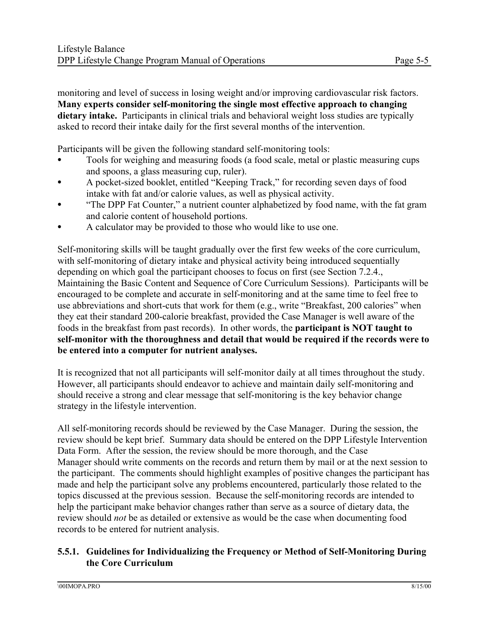monitoring and level of success in losing weight and/or improving cardiovascular risk factors. **Many experts consider self-monitoring the single most effective approach to changing dietary intake.** Participants in clinical trials and behavioral weight loss studies are typically asked to record their intake daily for the first several months of the intervention.

Participants will be given the following standard self-monitoring tools:

- Tools for weighing and measuring foods (a food scale, metal or plastic measuring cups and spoons, a glass measuring cup, ruler).
- A pocket-sized booklet, entitled "Keeping Track," for recording seven days of food intake with fat and/or calorie values, as well as physical activity.
- "The DPP Fat Counter," a nutrient counter alphabetized by food name, with the fat gram and calorie content of household portions.
- A calculator may be provided to those who would like to use one.

Self-monitoring skills will be taught gradually over the first few weeks of the core curriculum, with self-monitoring of dietary intake and physical activity being introduced sequentially depending on which goal the participant chooses to focus on first (see Section 7.2.4., Maintaining the Basic Content and Sequence of Core Curriculum Sessions). Participants will be encouraged to be complete and accurate in self-monitoring and at the same time to feel free to use abbreviations and short-cuts that work for them (e.g., write "Breakfast, 200 calories" when they eat their standard 200-calorie breakfast, provided the Case Manager is well aware of the foods in the breakfast from past records). In other words, the **participant is NOT taught to self-monitor with the thoroughness and detail that would be required if the records were to be entered into a computer for nutrient analyses.** 

It is recognized that not all participants will self-monitor daily at all times throughout the study. However, all participants should endeavor to achieve and maintain daily self-monitoring and should receive a strong and clear message that self-monitoring is the key behavior change strategy in the lifestyle intervention.

All self-monitoring records should be reviewed by the Case Manager. During the session, the review should be kept brief. Summary data should be entered on the DPP Lifestyle Intervention Data Form. After the session, the review should be more thorough, and the Case Manager should write comments on the records and return them by mail or at the next session to the participant. The comments should highlight examples of positive changes the participant has made and help the participant solve any problems encountered, particularly those related to the topics discussed at the previous session. Because the self-monitoring records are intended to help the participant make behavior changes rather than serve as a source of dietary data, the review should *not* be as detailed or extensive as would be the case when documenting food records to be entered for nutrient analysis.

#### **5.5.1. Guidelines for Individualizing the Frequency or Method of Self-Monitoring During the Core Curriculum**